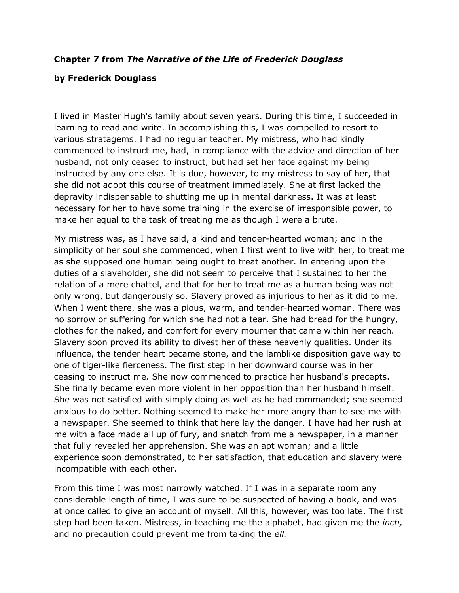## **Chapter 7 from** *The Narrative of the Life of Frederick Douglass*

## **by Frederick Douglass**

I lived in Master Hugh's family about seven years. During this time, I succeeded in learning to read and write. In accomplishing this, I was compelled to resort to various stratagems. I had no regular teacher. My mistress, who had kindly commenced to instruct me, had, in compliance with the advice and direction of her husband, not only ceased to instruct, but had set her face against my being instructed by any one else. It is due, however, to my mistress to say of her, that she did not adopt this course of treatment immediately. She at first lacked the depravity indispensable to shutting me up in mental darkness. It was at least necessary for her to have some training in the exercise of irresponsible power, to make her equal to the task of treating me as though I were a brute.

My mistress was, as I have said, a kind and tender-hearted woman; and in the simplicity of her soul she commenced, when I first went to live with her, to treat me as she supposed one human being ought to treat another. In entering upon the duties of a slaveholder, she did not seem to perceive that I sustained to her the relation of a mere chattel, and that for her to treat me as a human being was not only wrong, but dangerously so. Slavery proved as injurious to her as it did to me. When I went there, she was a pious, warm, and tender-hearted woman. There was no sorrow or suffering for which she had not a tear. She had bread for the hungry, clothes for the naked, and comfort for every mourner that came within her reach. Slavery soon proved its ability to divest her of these heavenly qualities. Under its influence, the tender heart became stone, and the lamblike disposition gave way to one of tiger-like fierceness. The first step in her downward course was in her ceasing to instruct me. She now commenced to practice her husband's precepts. She finally became even more violent in her opposition than her husband himself. She was not satisfied with simply doing as well as he had commanded; she seemed anxious to do better. Nothing seemed to make her more angry than to see me with a newspaper. She seemed to think that here lay the danger. I have had her rush at me with a face made all up of fury, and snatch from me a newspaper, in a manner that fully revealed her apprehension. She was an apt woman; and a little experience soon demonstrated, to her satisfaction, that education and slavery were incompatible with each other.

From this time I was most narrowly watched. If I was in a separate room any considerable length of time, I was sure to be suspected of having a book, and was at once called to give an account of myself. All this, however, was too late. The first step had been taken. Mistress, in teaching me the alphabet, had given me the *inch,* and no precaution could prevent me from taking the *ell.*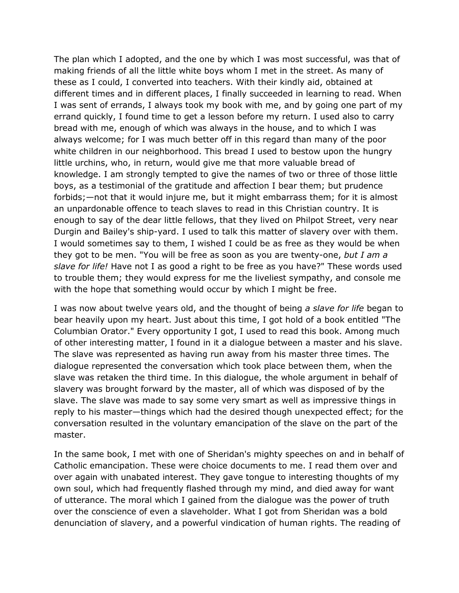The plan which I adopted, and the one by which I was most successful, was that of making friends of all the little white boys whom I met in the street. As many of these as I could, I converted into teachers. With their kindly aid, obtained at different times and in different places, I finally succeeded in learning to read. When I was sent of errands, I always took my book with me, and by going one part of my errand quickly, I found time to get a lesson before my return. I used also to carry bread with me, enough of which was always in the house, and to which I was always welcome; for I was much better off in this regard than many of the poor white children in our neighborhood. This bread I used to bestow upon the hungry little urchins, who, in return, would give me that more valuable bread of knowledge. I am strongly tempted to give the names of two or three of those little boys, as a testimonial of the gratitude and affection I bear them; but prudence forbids;—not that it would injure me, but it might embarrass them; for it is almost an unpardonable offence to teach slaves to read in this Christian country. It is enough to say of the dear little fellows, that they lived on Philpot Street, very near Durgin and Bailey's ship-yard. I used to talk this matter of slavery over with them. I would sometimes say to them, I wished I could be as free as they would be when they got to be men. "You will be free as soon as you are twenty-one, *but I am a slave for life!* Have not I as good a right to be free as you have?" These words used to trouble them; they would express for me the liveliest sympathy, and console me with the hope that something would occur by which I might be free.

I was now about twelve years old, and the thought of being *a slave for life* began to bear heavily upon my heart. Just about this time, I got hold of a book entitled "The Columbian Orator." Every opportunity I got, I used to read this book. Among much of other interesting matter, I found in it a dialogue between a master and his slave. The slave was represented as having run away from his master three times. The dialogue represented the conversation which took place between them, when the slave was retaken the third time. In this dialogue, the whole argument in behalf of slavery was brought forward by the master, all of which was disposed of by the slave. The slave was made to say some very smart as well as impressive things in reply to his master—things which had the desired though unexpected effect; for the conversation resulted in the voluntary emancipation of the slave on the part of the master.

In the same book, I met with one of Sheridan's mighty speeches on and in behalf of Catholic emancipation. These were choice documents to me. I read them over and over again with unabated interest. They gave tongue to interesting thoughts of my own soul, which had frequently flashed through my mind, and died away for want of utterance. The moral which I gained from the dialogue was the power of truth over the conscience of even a slaveholder. What I got from Sheridan was a bold denunciation of slavery, and a powerful vindication of human rights. The reading of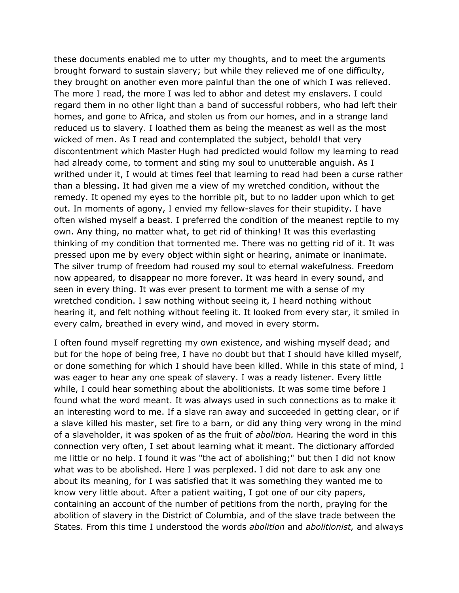these documents enabled me to utter my thoughts, and to meet the arguments brought forward to sustain slavery; but while they relieved me of one difficulty, they brought on another even more painful than the one of which I was relieved. The more I read, the more I was led to abhor and detest my enslavers. I could regard them in no other light than a band of successful robbers, who had left their homes, and gone to Africa, and stolen us from our homes, and in a strange land reduced us to slavery. I loathed them as being the meanest as well as the most wicked of men. As I read and contemplated the subject, behold! that very discontentment which Master Hugh had predicted would follow my learning to read had already come, to torment and sting my soul to unutterable anguish. As I writhed under it, I would at times feel that learning to read had been a curse rather than a blessing. It had given me a view of my wretched condition, without the remedy. It opened my eyes to the horrible pit, but to no ladder upon which to get out. In moments of agony, I envied my fellow-slaves for their stupidity. I have often wished myself a beast. I preferred the condition of the meanest reptile to my own. Any thing, no matter what, to get rid of thinking! It was this everlasting thinking of my condition that tormented me. There was no getting rid of it. It was pressed upon me by every object within sight or hearing, animate or inanimate. The silver trump of freedom had roused my soul to eternal wakefulness. Freedom now appeared, to disappear no more forever. It was heard in every sound, and seen in every thing. It was ever present to torment me with a sense of my wretched condition. I saw nothing without seeing it, I heard nothing without hearing it, and felt nothing without feeling it. It looked from every star, it smiled in every calm, breathed in every wind, and moved in every storm.

I often found myself regretting my own existence, and wishing myself dead; and but for the hope of being free, I have no doubt but that I should have killed myself, or done something for which I should have been killed. While in this state of mind, I was eager to hear any one speak of slavery. I was a ready listener. Every little while, I could hear something about the abolitionists. It was some time before I found what the word meant. It was always used in such connections as to make it an interesting word to me. If a slave ran away and succeeded in getting clear, or if a slave killed his master, set fire to a barn, or did any thing very wrong in the mind of a slaveholder, it was spoken of as the fruit of *abolition.* Hearing the word in this connection very often, I set about learning what it meant. The dictionary afforded me little or no help. I found it was "the act of abolishing;" but then I did not know what was to be abolished. Here I was perplexed. I did not dare to ask any one about its meaning, for I was satisfied that it was something they wanted me to know very little about. After a patient waiting, I got one of our city papers, containing an account of the number of petitions from the north, praying for the abolition of slavery in the District of Columbia, and of the slave trade between the States. From this time I understood the words *abolition* and *abolitionist,* and always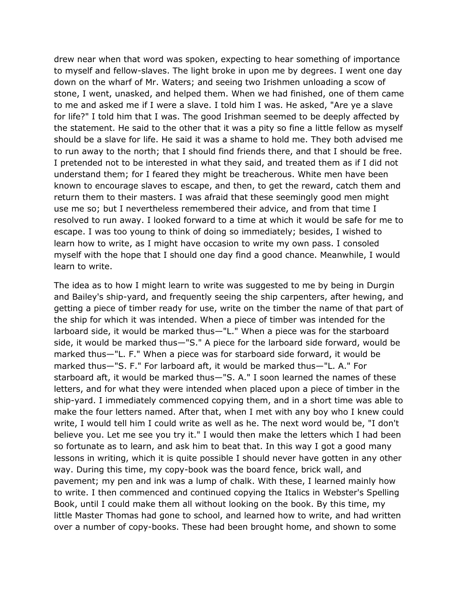drew near when that word was spoken, expecting to hear something of importance to myself and fellow-slaves. The light broke in upon me by degrees. I went one day down on the wharf of Mr. Waters; and seeing two Irishmen unloading a scow of stone, I went, unasked, and helped them. When we had finished, one of them came to me and asked me if I were a slave. I told him I was. He asked, "Are ye a slave for life?" I told him that I was. The good Irishman seemed to be deeply affected by the statement. He said to the other that it was a pity so fine a little fellow as myself should be a slave for life. He said it was a shame to hold me. They both advised me to run away to the north; that I should find friends there, and that I should be free. I pretended not to be interested in what they said, and treated them as if I did not understand them; for I feared they might be treacherous. White men have been known to encourage slaves to escape, and then, to get the reward, catch them and return them to their masters. I was afraid that these seemingly good men might use me so; but I nevertheless remembered their advice, and from that time I resolved to run away. I looked forward to a time at which it would be safe for me to escape. I was too young to think of doing so immediately; besides, I wished to learn how to write, as I might have occasion to write my own pass. I consoled myself with the hope that I should one day find a good chance. Meanwhile, I would learn to write.

The idea as to how I might learn to write was suggested to me by being in Durgin and Bailey's ship-yard, and frequently seeing the ship carpenters, after hewing, and getting a piece of timber ready for use, write on the timber the name of that part of the ship for which it was intended. When a piece of timber was intended for the larboard side, it would be marked thus—"L." When a piece was for the starboard side, it would be marked thus—"S." A piece for the larboard side forward, would be marked thus—"L. F." When a piece was for starboard side forward, it would be marked thus—"S. F." For larboard aft, it would be marked thus—"L. A." For starboard aft, it would be marked thus—"S. A." I soon learned the names of these letters, and for what they were intended when placed upon a piece of timber in the ship-yard. I immediately commenced copying them, and in a short time was able to make the four letters named. After that, when I met with any boy who I knew could write, I would tell him I could write as well as he. The next word would be, "I don't believe you. Let me see you try it." I would then make the letters which I had been so fortunate as to learn, and ask him to beat that. In this way I got a good many lessons in writing, which it is quite possible I should never have gotten in any other way. During this time, my copy-book was the board fence, brick wall, and pavement; my pen and ink was a lump of chalk. With these, I learned mainly how to write. I then commenced and continued copying the Italics in Webster's Spelling Book, until I could make them all without looking on the book. By this time, my little Master Thomas had gone to school, and learned how to write, and had written over a number of copy-books. These had been brought home, and shown to some